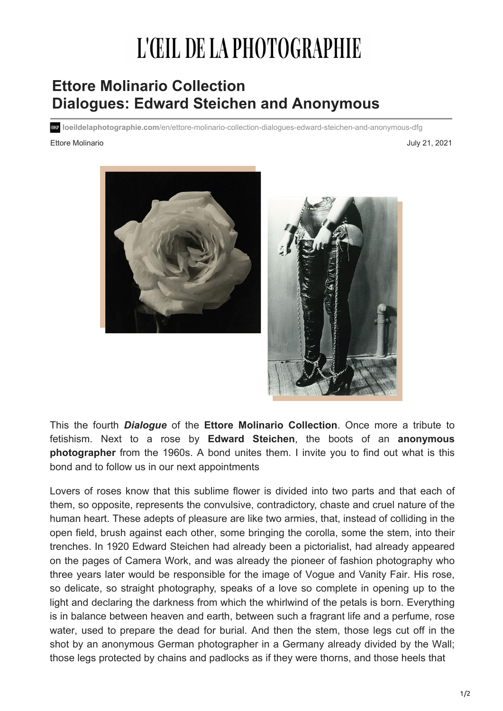## L'ŒIL DE LA PHOTOGRAPHIE

## **Ettore Molinario Collection Dialogues: Edward Steichen and Anonymous**

**loeildelaphotographie.com**/en/ettore-molinario-collection-dialogues-edward-steichen-and-anonymous-dfg

## [Ettore Molinario](https://loeildelaphotographie.com/en/ettore-molinario-collection-dialogues-edward-steichen-and-anonymous-dfg/) July 21, 2021





This the fourth *Dialogue* of the **Ettore Molinario Collection**. Once more a tribute to fetishism. Next to a rose by **Edward Steichen**, the boots of an **anonymous photographer** from the 1960s. A bond unites them. I invite you to find out what is this bond and to follow us in our next appointments

Lovers of roses know that this sublime flower is divided into two parts and that each of them, so opposite, represents the convulsive, contradictory, chaste and cruel nature of the human heart. These adepts of pleasure are like two armies, that, instead of colliding in the open field, brush against each other, some bringing the corolla, some the stem, into their trenches. In 1920 Edward Steichen had already been a pictorialist, had already appeared on the pages of Camera Work, and was already the pioneer of fashion photography who three years later would be responsible for the image of Vogue and Vanity Fair. His rose, so delicate, so straight photography, speaks of a love so complete in opening up to the light and declaring the darkness from which the whirlwind of the petals is born. Everything is in balance between heaven and earth, between such a fragrant life and a perfume, rose water, used to prepare the dead for burial. And then the stem, those legs cut off in the shot by an anonymous German photographer in a Germany already divided by the Wall; those legs protected by chains and padlocks as if they were thorns, and those heels that